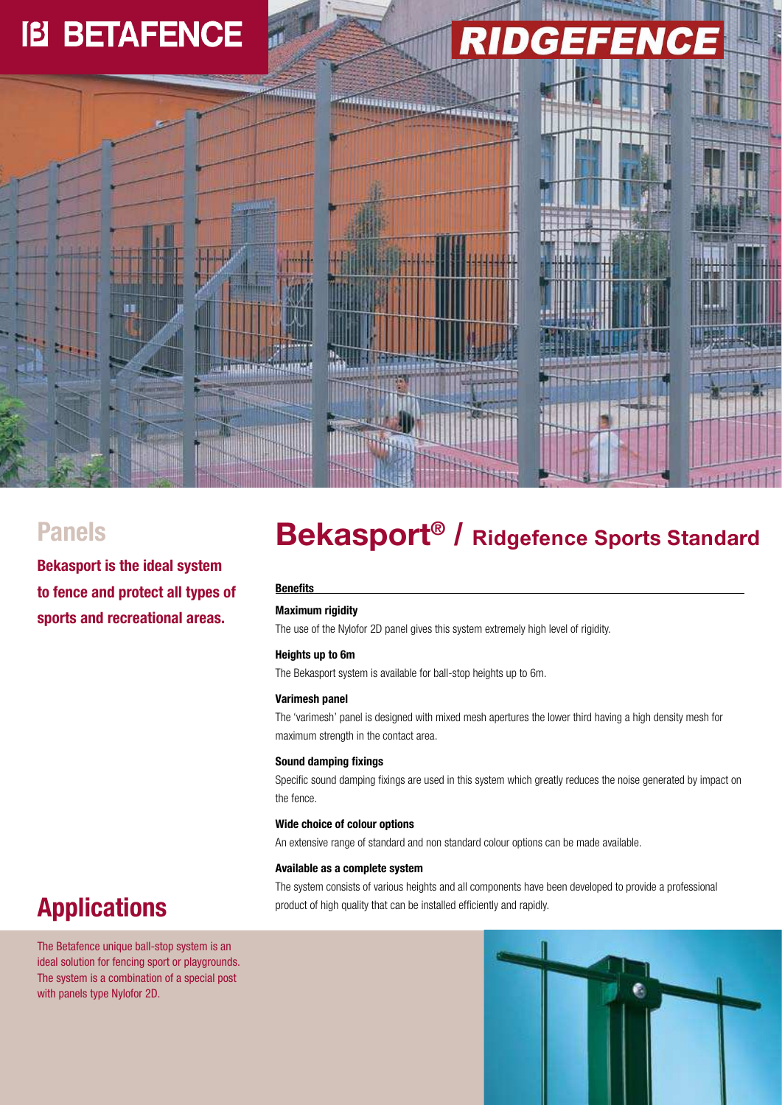## **IB BETAFENCE**

# 







**Bekasport is the ideal system to fence and protect all types of sports and recreational areas.** 

### **Bekasport® Panels / Ridgefence Sports <sup>S</sup>tandar<sup>d</sup>**

#### **Benefits**

#### **Maximum rigidity**

The use of the Nylofor 2D panel gives this system extremely high level of rigidity.

#### **Heights up to 6m**

The Bekasport system is available for ball-stop heights up to 6m.

#### **Varimesh panel**

The 'varimesh' panel is designed with mixed mesh apertures the lower third having a high density mesh for maximum strength in the contact area.

#### **Sound damping fixings**

Specific sound damping fixings are used in this system which greatly reduces the noise generated by impact on the fence.

#### **Wide choice of colour options**

An extensive range of standard and non standard colour options can be made available.

#### **Available as a complete system**

The system consists of various heights and all components have been developed to provide a professional product of high quality that can be installed efficiently and rapidly.

### **Applications**

The Betafence unique ball-stop system is an ideal solution for fencing sport or playgrounds. The system is a combination of a special post with panels type Nylofor 2D.